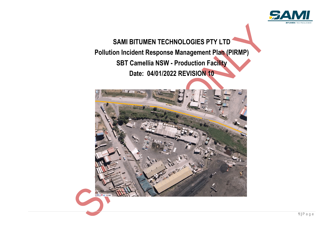

# **SAMI BITUMEN TECHNOLOGIES PTY LTD Pollution Incident Response Management Plan (PIRMP) SBT Camellia NSW - Production Facility Date: 04/01/2022 REVISION 10**

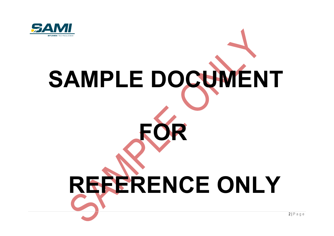

# **SAMPLE DOCUMENT FOR REFERENCE ONLY**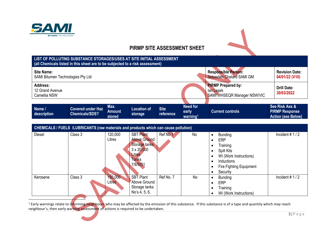

## <span id="page-2-0"></span>**PIRMP SITE ASSESSMENT SHEET**

| LIST OF POLLUTING SUBSTANCE STORAGES/USES AT SITE INITIAL ASSESSMENT<br>(all Chemicals listed in this sheet are to be subjected to a risk assessment) |                                                                                      |                                 |                                                                                                                            |                          |                                                  |                                                                                                                                                                |                                                                      |  |
|-------------------------------------------------------------------------------------------------------------------------------------------------------|--------------------------------------------------------------------------------------|---------------------------------|----------------------------------------------------------------------------------------------------------------------------|--------------------------|--------------------------------------------------|----------------------------------------------------------------------------------------------------------------------------------------------------------------|----------------------------------------------------------------------|--|
| <b>Site Name:</b><br>SAMI Bitumen Technologies Pty Ltd                                                                                                |                                                                                      |                                 |                                                                                                                            |                          |                                                  | <b>Responsible Person:</b><br><b>Sebastien Chatard SAMI GM</b>                                                                                                 | <b>Revision Date:</b><br>04/01/22 (V10)                              |  |
| <b>Address:</b><br>12 Grand Avenue<br>Camellia NSW                                                                                                    |                                                                                      |                                 |                                                                                                                            |                          |                                                  | <b>PIRMP Prepared by:</b><br>lan Leask<br><b>SAMI WHSEQR Manager NSW/VIC</b>                                                                                   | <b>Drill Date:</b><br>30/03/2022                                     |  |
| Name /<br>description                                                                                                                                 | <b>Covered under Haz</b><br><b>Chemicals/SDS?</b>                                    | Max.<br><b>Amount</b><br>stored | <b>Location of</b><br>storage                                                                                              | <b>Site</b><br>reference | <b>Need for</b><br>early<br>warning <sup>1</sup> | <b>Current controls</b>                                                                                                                                        | See Risk Ass &<br><b>PIRMP Response</b><br><b>Action (see Below)</b> |  |
|                                                                                                                                                       | CHEMICALS / FUELS /LUBRICANTS (raw materials and products which can cause pollution) |                                 |                                                                                                                            |                          |                                                  |                                                                                                                                                                |                                                                      |  |
| <b>Diesel</b>                                                                                                                                         | Class 3                                                                              | 120,000<br>Litres               | <b>SBT Plant</b><br><b>Above Ground</b><br>Storage tanks<br>$3 \times 20,000$<br><b>Litres</b><br><b>Tanks</b><br>7/8/9/D1 | Ref No 1                 | <b>No</b>                                        | <b>Bunding</b><br>$\bullet$<br><b>ERP</b><br>Training<br>Spill Kits<br>WI (Work Instructions)<br><b>Inductions</b><br>Fire Fighting Equipment<br>Security<br>٠ | Incident $# 1/2$                                                     |  |
| Kerosene                                                                                                                                              | Class 3                                                                              | 150,000<br><b>Litres</b>        | <b>SBT</b> Plant<br>Above Ground<br>Storage tanks<br>No's 4, 5, 6,                                                         | Ref No. 7                | <b>No</b>                                        | <b>Bunding</b><br>$\bullet$<br><b>ERP</b><br>Training<br>WI (Work Instructions)                                                                                | Incident $# 1/2$                                                     |  |

<sup>1</sup> Early warnings relate to informing neighbours who may be affected by the emission of this substance. If this substance is of a type and quantity which may reach neighbour's, then early warning assessment of actions is required to be undertaken.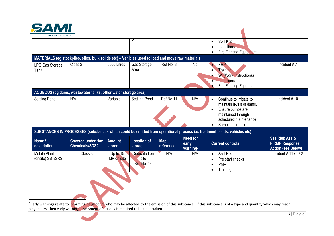<span id="page-3-0"></span>

| <b>BITI IMEN</b> TECHNOLOGIES    |                                                                                                  |                          |                                    |                         |                                                  |                                                                                                                                                                        |                                                                      |
|----------------------------------|--------------------------------------------------------------------------------------------------|--------------------------|------------------------------------|-------------------------|--------------------------------------------------|------------------------------------------------------------------------------------------------------------------------------------------------------------------------|----------------------------------------------------------------------|
|                                  |                                                                                                  |                          | K <sub>1</sub>                     |                         |                                                  | Spill Kits<br>$\bullet$<br>Inductions<br>Fire Fighting Equipment                                                                                                       |                                                                      |
|                                  | MATERIALS (eg stockpiles, silos, bulk solids etc) - Vehicles used to load and move raw materials |                          |                                    |                         |                                                  |                                                                                                                                                                        |                                                                      |
| LPG Gas Storage<br>Tank          | Class 2                                                                                          | 6000 Litres              | Gas Storage<br>Area                | Ref No. 8               | No                                               | <b>ERP</b><br>$\bullet$<br>Training<br>$\bullet$<br><b>WI</b> (Work Instructions)<br>٠<br>Inductions<br>$\bullet$<br>Fire Fighting Equipment                           | Incident $# 7$                                                       |
|                                  | AQUEOUS (eg dams, wastewater tanks, other water storage area)                                    |                          |                                    |                         |                                                  |                                                                                                                                                                        |                                                                      |
| Settling Pond                    | N/A                                                                                              | Variable                 | Settling Pond                      | Ref No 11               | N/A                                              | Continue to irrigate to<br>$\bullet$<br>maintain levels of dams.<br>Ensure pumps are<br>maintained through<br>scheduled maintenance<br>Sample as required<br>$\bullet$ | Incident #10                                                         |
|                                  |                                                                                                  |                          |                                    |                         |                                                  | SUBSTANCES IN PROCESSES (substances which could be emitted from operational process i.e. treatment plants, vehicles etc)                                               |                                                                      |
| Name /<br>description            | <b>Covered under Haz</b><br><b>Chemicals/SDS?</b>                                                | <b>Amount</b><br>stored  | <b>Location of</b><br>storage      | <b>Map</b><br>reference | <b>Need for</b><br>early<br>warning <sup>2</sup> | <b>Current controls</b>                                                                                                                                                | See Risk Ass &<br><b>PIRMP Response</b><br><b>Action (see Below)</b> |
| Mobile Plant<br>(onsite) SBT/SRS | Class 3                                                                                          | Up to $15$<br>MP on site | Dedicated on<br>site<br>Ref No. 14 | N/A                     | N/A                                              | Spill Kits<br>$\bullet$<br>Pre start checks<br><b>PMP</b><br>$\bullet$<br>Training                                                                                     | Incident #11/1/2                                                     |

<sup>2</sup> Early warnings relate to informing neighbours who may be affected by the emission of this substance. If this substance is of a type and quantity which may reach neighbours, then early warning assessment of actions is required to be undertaken.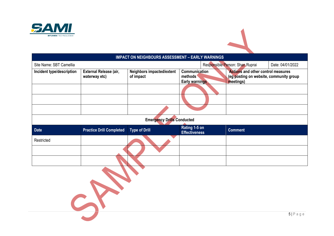

| <b>IMPACT ON NEIGHBOURS ASSESSMENT - EARLY WARNINGS</b> |                                         |                                        |                                                   |                                                                                                   |                  |  |  |  |
|---------------------------------------------------------|-----------------------------------------|----------------------------------------|---------------------------------------------------|---------------------------------------------------------------------------------------------------|------------------|--|--|--|
| Site Name: SBT Camellia                                 |                                         |                                        |                                                   | Responsible Person: Shan Ruprai                                                                   | Date: 04/01/2022 |  |  |  |
| Incident type/description                               | External Release (air,<br>waterway etc) | Neighbors impacted/extent<br>of impact | Communication<br>methods<br><b>Early warnings</b> | <b>Actions and other control measures</b><br>(eg posting on website, community group<br>meetings) |                  |  |  |  |
|                                                         |                                         |                                        |                                                   |                                                                                                   |                  |  |  |  |
|                                                         |                                         |                                        |                                                   |                                                                                                   |                  |  |  |  |
|                                                         |                                         |                                        |                                                   |                                                                                                   |                  |  |  |  |
|                                                         |                                         | <b>Emergency Drills Conducted</b>      |                                                   |                                                                                                   |                  |  |  |  |
| <b>Date</b>                                             | <b>Practice Drill Completed</b>         | <b>Type of Drill</b>                   | Rating 1-5 on<br><b>Effectiveness</b>             | <b>Comment</b>                                                                                    |                  |  |  |  |
| Restricted                                              |                                         |                                        |                                                   |                                                                                                   |                  |  |  |  |
|                                                         |                                         |                                        |                                                   |                                                                                                   |                  |  |  |  |
|                                                         |                                         |                                        |                                                   |                                                                                                   |                  |  |  |  |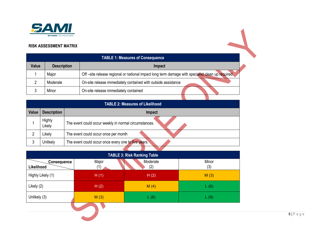

### **RISK ASSESSMENT MATRIX**

| <b>TABLE 1: Measures of Consequence</b> |                    |                                                                                                  |  |  |  |  |  |
|-----------------------------------------|--------------------|--------------------------------------------------------------------------------------------------|--|--|--|--|--|
| Value                                   | <b>Description</b> | <b>Impact</b>                                                                                    |  |  |  |  |  |
|                                         | Major              | Off -site release regional or national impact long term damage with specialist clean up required |  |  |  |  |  |
|                                         | Moderate           | On-site release immediately contained with outside assistance                                    |  |  |  |  |  |
|                                         | Minor              | On-site release immediately contained                                                            |  |  |  |  |  |
|                                         |                    |                                                                                                  |  |  |  |  |  |

|              | <b>TABLE 2: Measures of Likelihood</b> |                                                       |  |  |  |  |  |
|--------------|----------------------------------------|-------------------------------------------------------|--|--|--|--|--|
| <b>Value</b> | <b>Description</b>                     | Impact                                                |  |  |  |  |  |
|              | <b>Highly</b><br>Likely                | The event could occur weekly in normal circumstances. |  |  |  |  |  |
|              | Likely                                 | The event could occur once per month                  |  |  |  |  |  |
|              | Unlikely                               | The event could occur once every one to five years.   |  |  |  |  |  |
|              |                                        |                                                       |  |  |  |  |  |

| <b>TABLE 3: Risk Ranking Table</b> |              |                 |              |  |  |  |  |  |
|------------------------------------|--------------|-----------------|--------------|--|--|--|--|--|
| <b>Consequence</b><br>Likelihood   | Major<br>(1) | Moderate<br>(2) | Minor<br>(3) |  |  |  |  |  |
| Highly Likely (1)                  | H(1)         | H(2)            | M(3)         |  |  |  |  |  |
| Likely (2)                         | H(2)         | M(4)            | L(6)         |  |  |  |  |  |
| Unlikely (3)                       | M(3)         | L(6)            | L(9)         |  |  |  |  |  |
|                                    |              |                 |              |  |  |  |  |  |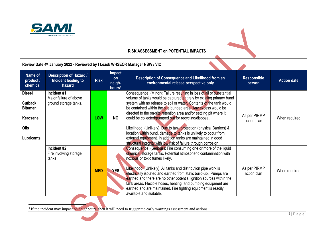

### **RISK ASSESSMENT on POTENTIAL IMPACTS**

<span id="page-6-0"></span>i.

|                                                                                            | Review Date 4th January 2022 - Reviewed by I Leask WHSEQR Manager NSW / VIC |             |                                                     |                                                                                                                                                                                                                                                                                                                                                                                                                                                                                                                                                                                                                                                                                                     |                              |                    |  |  |  |
|--------------------------------------------------------------------------------------------|-----------------------------------------------------------------------------|-------------|-----------------------------------------------------|-----------------------------------------------------------------------------------------------------------------------------------------------------------------------------------------------------------------------------------------------------------------------------------------------------------------------------------------------------------------------------------------------------------------------------------------------------------------------------------------------------------------------------------------------------------------------------------------------------------------------------------------------------------------------------------------------------|------------------------------|--------------------|--|--|--|
| Name of<br>product /<br>chemical                                                           | <b>Description of Hazard /</b><br>Incident leading to<br>hazard             | <b>Risk</b> | <b>Impact</b><br>on<br>neigh-<br>bours <sup>3</sup> | Description of Consequence and Likelihood from an<br>environmental release perspective only                                                                                                                                                                                                                                                                                                                                                                                                                                                                                                                                                                                                         | <b>Responsible</b><br>person | <b>Action date</b> |  |  |  |
| <b>Diesel</b><br><b>Cutback</b><br><b>Bitumen</b><br>Kerosene<br>Oils<br><b>Lubricants</b> | Incident #1<br>Major failure of above<br>ground storage tanks.              | <b>LOW</b>  | <b>NO</b>                                           | Consequence: (Minor): Failure resulting in loss of all or substantial<br>volume of tanks would be captured entirely by existing primary bund<br>system with no release to soil or water. Contents of the tank would<br>be contained within the site bunded area. Any excess would be<br>directed to the on-site retention area and/or settling pit where it<br>could be collected/pumped out for recycling/disposal.<br>Likelihood: (Unlikely): Due to tank protection (physical Barriers) &<br>location within bund, damage to tanks is unlikely to occur from<br>external equipment. In addition tanks are maintained in good<br>structural integrity with low risk of failure through corrosion. | As per PIRMP<br>action plan  | When required      |  |  |  |
|                                                                                            | Incident #2<br>Fire involving storage<br>tanks                              | <b>MED</b>  | <b>YES</b>                                          | Consequence: (Serious): Fire consuming one or more of the liquid<br>chemical storage tanks. Potential atmospheric contamination with<br>noxious or toxic fumes likely.<br>Likelihood: (Unlikely): All tanks and distribution pipe work is<br>electrically isolated and earthed from static build-up. Pumps are<br>earthed and there are no other potential ignition sources within the<br>tank areas. Flexible hoses, heating, and pumping equipment are<br>earthed and are maintained. Fire fighting equipment is readily<br>available and suitable.                                                                                                                                               | As per PIRMP<br>action plan  | When required      |  |  |  |

<sup>3</sup> If the incident may impact on neighbours, then it will need to trigger the early warnings assessment and actions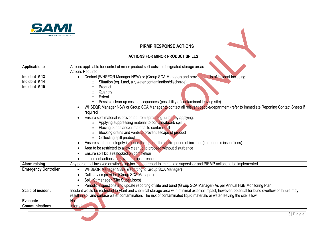

### **PIRMP RESPONSE ACTIONS**

### **ACTIONS FOR MINOR PRODUCT SPILLS**

| Applicable to               | Actions applicable for control of minor product spill outside designated storage areas                                                            |
|-----------------------------|---------------------------------------------------------------------------------------------------------------------------------------------------|
|                             | <b>Actions Required:</b>                                                                                                                          |
| Incident $#13$              | Contact (WHSEQR Manager NSW) or (Group SCA Manager) and provide details of incident including:                                                    |
| Incident #14                | Situation (eg. Land, air, water contamination/discharge)<br>$\circ$                                                                               |
| Incident #15                | Product<br>$\circ$                                                                                                                                |
|                             | Quantity<br>$\circ$                                                                                                                               |
|                             | Extent<br>$\Omega$                                                                                                                                |
|                             | Possible clean-up cost consequences (possibility of contaminant leaving site)<br>$\circ$                                                          |
|                             | WHSEQR Manager NSW or Group SCA Manager to contact all relevant people/department (refer to Immediate Reporting Contact Sheet) if<br>required     |
|                             | Ensure spilt material is prevented from spreading further by applying:                                                                            |
|                             | Applying suppressing material to contain/absorb spill<br>$\circ$                                                                                  |
|                             | Placing bunds and/or material to contain spill<br>$\circ$                                                                                         |
|                             | Blocking drains and vents to prevent escape of product                                                                                            |
|                             | Collecting spilt product<br>$\circ$                                                                                                               |
|                             | Ensure site bund integrity is sound throughout the entire period of incident (i.e. periodic inspections)                                          |
|                             | Area to be restricted to allow cleanup to proceed without disturbance                                                                             |
|                             | Ensure spill kit is restocked on completion                                                                                                       |
|                             | Implement actions to prevent re-occurrence                                                                                                        |
| Alarm raising               | Any personnel involved or witnessing incident to report to immediate supervisor and PIRMP actions to be implemented.                              |
| <b>Emergency Controller</b> | WHSEQR Manager NSW (reporting to Group SCA Manager)<br>$\bullet$                                                                                  |
|                             | Call service provider (Group SCA Manager)                                                                                                         |
|                             | Spill Kit manager (Site Supervisors)                                                                                                              |
|                             | Periodic inspections and update reporting of site and bund (Group SCA Manager) As per Annual HSE Monitoring Plan                                  |
| <b>Scale of incident</b>    | Incident would be restricted to Plant and chemical storage area with minimal external impact, however, potential for bund overflow or failure may |
|                             | result in soil and surface water contamination. The risk of contaminated liquid materials or water leaving the site is low                        |
| <b>Evacuate</b>             | No.                                                                                                                                               |
| Communications              | Internal:                                                                                                                                         |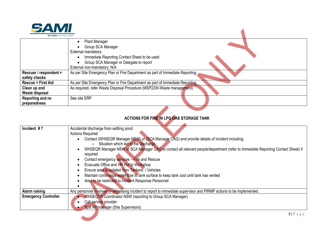

| <b>BITUMEN TECHNOLOGIES</b>             |                                                                                                                                                                                            |
|-----------------------------------------|--------------------------------------------------------------------------------------------------------------------------------------------------------------------------------------------|
|                                         | <b>Plant Manager</b><br>Group SCA Manager<br>External mandatory:<br>Immediate Reporting Contact Sheet to be used<br>Group SCA Manager or Delegate to report<br>External non-mandatory: N/A |
| Rescuer / respondent +<br>safety checks | As per Site Emergency Plan or Fire Department as part of Immediate Reporting                                                                                                               |
| <b>Rescue + First Aid</b>               | As per Site Emergency Plan or Fire Department as part of Immediate Reporting                                                                                                               |
| Clean up and                            | As required, refer Waste Disposal Procedure (MSP22W-Waste management)                                                                                                                      |
| Waste disposal                          |                                                                                                                                                                                            |
| Reporting and re-                       | See site ERP                                                                                                                                                                               |
| preparedness                            |                                                                                                                                                                                            |

 $\blacktriangle$ 

### **ACTIONS FOR FIRE IN LPG GAS STORAGE TANK**

| Incident $#7$               | Accidental discharge from settling pond                                                                                         |
|-----------------------------|---------------------------------------------------------------------------------------------------------------------------------|
|                             | <b>Actions Required:</b>                                                                                                        |
|                             | Contact (WHSEQR Manager NSW) or (SCA Manager CAG) and provide details of incident including:                                    |
|                             | Situation which led to the discharge<br>$\circ$                                                                                 |
|                             | WHSEQR Manager NSW or SCA Manager CAG to contact all relevant people/department (refer to Immediate Reporting Contact Sheet) if |
|                             | required                                                                                                                        |
|                             | Contact emergency services - Fire and Rescue                                                                                    |
|                             | Evacuate Office and HR Hut to Workshop                                                                                          |
|                             | Ensure area is isolated from Tankers / Vehicles                                                                                 |
|                             | Maintain continuous water flow to tank surface to keep tank cool until tank has vented                                          |
|                             | Area to be restricted to Incident Response Personnel                                                                            |
|                             |                                                                                                                                 |
| Alarm raising               | Any personnel involved or witnessing incident to report to immediate supervisor and PIRMP actions to be implemented.            |
| <b>Emergency Controller</b> | <b>WHSEQTR Coordinator NSW (reporting to Group SCA Manager)</b>                                                                 |
|                             | Call service provider                                                                                                           |
|                             | Spill Kit manager (Site Supervisors)                                                                                            |
|                             |                                                                                                                                 |